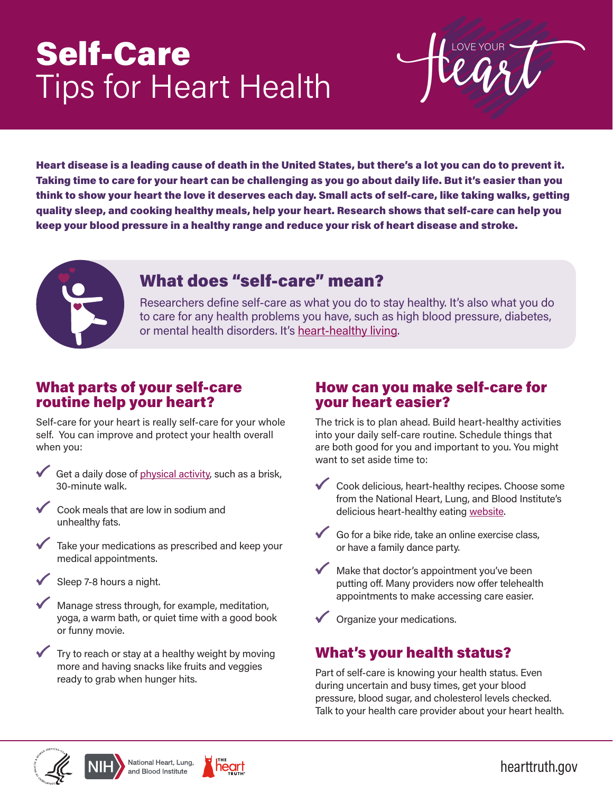# Self-Care Tips for Heart Health

 $\mathsf{I}$ 

Heart disease is a leading cause of death in the United States, but there's a lot you can do to prevent it. Taking time to care for your heart can be challenging as you go about daily life. But it's easier than you think to show your heart the love it deserves each day. Small acts of self-care, like taking walks, getting quality sleep, and cooking healthy meals, help your heart. Research shows that self-care can help you keep your blood pressure in a healthy range and reduce your risk of heart disease and stroke.



# What does "self-care" mean?

Researchers define self-care as what you do to stay healthy. It's also what you do to care for any health problems you have, such as high blood pressure, diabetes, or mental health disorders. It's [heart-healthy living.](https://www.nhlbi.nih.gov/health-topics/heart-healthy-living)

#### What parts of your self-care routine help your heart?

Self-care for your heart is really self-care for your whole self. You can improve and protect your health overall when you:

- Get a daily dose of [physical activity,](https://www.nhlbi.nih.gov/health-topics/physical-activity-and-your-heart) such as a brisk, 30-minute walk.
- Cook meals that are low in sodium and unhealthy fats.
- Take your medications as prescribed and keep your medical appointments.
- Sleep 7-8 hours a night.
- Manage stress through, for example, meditation, yoga, a warm bath, or quiet time with a good book or funny movie.
- Try to reach or stay at a healthy weight by moving more and having snacks like fruits and veggies ready to grab when hunger hits.

#### How can you make self-care for your heart easier?

The trick is to plan ahead. Build heart-healthy activities into your daily self-care routine. Schedule things that are both good for you and important to you. You might want to set aside time to:

- **Cook delicious, heart-healthy recipes. Choose some** from the National Heart, Lung, and Blood Institute's delicious heart-healthy eating [website](https://healthyeating.nhlbi.nih.gov/(X(1)S(j0kwy41qephewibq1humhnho))/default.aspx?AspxAutoDetectCookieSupport=1).
- Go for a bike ride, take an online exercise class, or have a family dance party.
- Make that doctor's appointment you've been putting off. Many providers now offer telehealth appointments to make accessing care easier.

Organize your medications.

## What's your health status?

Part of self-care is knowing your health status. Even during uncertain and busy times, get your blood pressure, blood sugar, and cholesterol levels checked. Talk to your health care provider about your heart health.